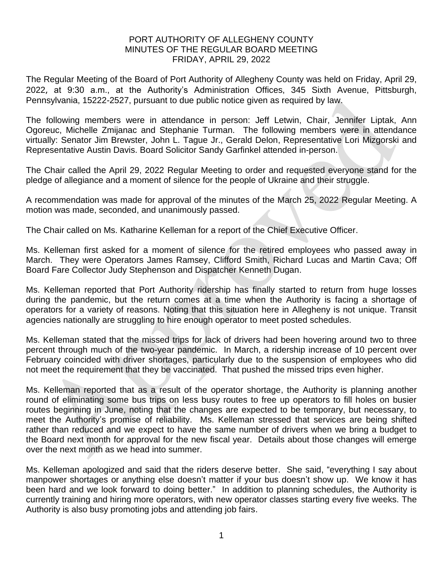## PORT AUTHORITY OF ALLEGHENY COUNTY MINUTES OF THE REGULAR BOARD MEETING FRIDAY, APRIL 29, 2022

The Regular Meeting of the Board of Port Authority of Allegheny County was held on Friday, April 29, 2022, at 9:30 a.m., at the Authority's Administration Offices, 345 Sixth Avenue, Pittsburgh, Pennsylvania, 15222-2527, pursuant to due public notice given as required by law.

The following members were in attendance in person: Jeff Letwin, Chair, Jennifer Liptak, Ann Ogoreuc, Michelle Zmijanac and Stephanie Turman. The following members were in attendance virtually: Senator Jim Brewster, John L. Tague Jr., Gerald Delon, Representative Lori Mizgorski and Representative Austin Davis. Board Solicitor Sandy Garfinkel attended in-person.

The Chair called the April 29, 2022 Regular Meeting to order and requested everyone stand for the pledge of allegiance and a moment of silence for the people of Ukraine and their struggle.

A recommendation was made for approval of the minutes of the March 25, 2022 Regular Meeting. A motion was made, seconded, and unanimously passed.

The Chair called on Ms. Katharine Kelleman for a report of the Chief Executive Officer.

Ms. Kelleman first asked for a moment of silence for the retired employees who passed away in March. They were Operators James Ramsey, Clifford Smith, Richard Lucas and Martin Cava; Off Board Fare Collector Judy Stephenson and Dispatcher Kenneth Dugan.

Ms. Kelleman reported that Port Authority ridership has finally started to return from huge losses during the pandemic, but the return comes at a time when the Authority is facing a shortage of operators for a variety of reasons. Noting that this situation here in Allegheny is not unique. Transit agencies nationally are struggling to hire enough operator to meet posted schedules.

Ms. Kelleman stated that the missed trips for lack of drivers had been hovering around two to three percent through much of the two-year pandemic. In March, a ridership increase of 10 percent over February coincided with driver shortages, particularly due to the suspension of employees who did not meet the requirement that they be vaccinated. That pushed the missed trips even higher.

Ms. Kelleman reported that as a result of the operator shortage, the Authority is planning another round of eliminating some bus trips on less busy routes to free up operators to fill holes on busier routes beginning in June, noting that the changes are expected to be temporary, but necessary, to meet the Authority's promise of reliability. Ms. Kelleman stressed that services are being shifted rather than reduced and we expect to have the same number of drivers when we bring a budget to the Board next month for approval for the new fiscal year. Details about those changes will emerge over the next month as we head into summer.

Ms. Kelleman apologized and said that the riders deserve better. She said, "everything I say about manpower shortages or anything else doesn't matter if your bus doesn't show up. We know it has been hard and we look forward to doing better." In addition to planning schedules, the Authority is currently training and hiring more operators, with new operator classes starting every five weeks. The Authority is also busy promoting jobs and attending job fairs.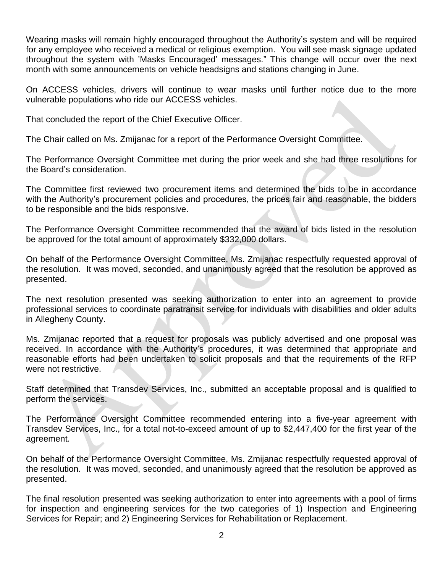Wearing masks will remain highly encouraged throughout the Authority's system and will be required for any employee who received a medical or religious exemption. You will see mask signage updated throughout the system with 'Masks Encouraged' messages." This change will occur over the next month with some announcements on vehicle headsigns and stations changing in June.

On ACCESS vehicles, drivers will continue to wear masks until further notice due to the more vulnerable populations who ride our ACCESS vehicles.

That concluded the report of the Chief Executive Officer.

The Chair called on Ms. Zmijanac for a report of the Performance Oversight Committee.

The Performance Oversight Committee met during the prior week and she had three resolutions for the Board's consideration.

The Committee first reviewed two procurement items and determined the bids to be in accordance with the Authority's procurement policies and procedures, the prices fair and reasonable, the bidders to be responsible and the bids responsive.

The Performance Oversight Committee recommended that the award of bids listed in the resolution be approved for the total amount of approximately \$332,000 dollars.

On behalf of the Performance Oversight Committee, Ms. Zmijanac respectfully requested approval of the resolution. It was moved, seconded, and unanimously agreed that the resolution be approved as presented.

The next resolution presented was seeking authorization to enter into an agreement to provide professional services to coordinate paratransit service for individuals with disabilities and older adults in Allegheny County.

Ms. Zmijanac reported that a request for proposals was publicly advertised and one proposal was received. In accordance with the Authority's procedures, it was determined that appropriate and reasonable efforts had been undertaken to solicit proposals and that the requirements of the RFP were not restrictive.

Staff determined that Transdev Services, Inc., submitted an acceptable proposal and is qualified to perform the services.

The Performance Oversight Committee recommended entering into a five-year agreement with Transdev Services, Inc., for a total not-to-exceed amount of up to \$2,447,400 for the first year of the agreement.

On behalf of the Performance Oversight Committee, Ms. Zmijanac respectfully requested approval of the resolution. It was moved, seconded, and unanimously agreed that the resolution be approved as presented.

The final resolution presented was seeking authorization to enter into agreements with a pool of firms for inspection and engineering services for the two categories of 1) Inspection and Engineering Services for Repair; and 2) Engineering Services for Rehabilitation or Replacement.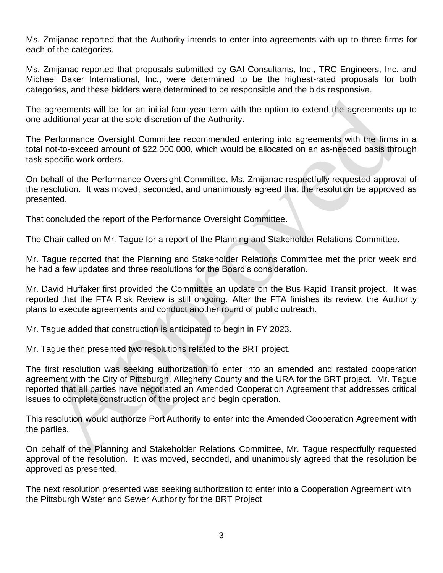Ms. Zmijanac reported that the Authority intends to enter into agreements with up to three firms for each of the categories.

Ms. Zmijanac reported that proposals submitted by GAI Consultants, Inc., TRC Engineers, Inc. and Michael Baker International, Inc., were determined to be the highest-rated proposals for both categories, and these bidders were determined to be responsible and the bids responsive.

The agreements will be for an initial four-year term with the option to extend the agreements up to one additional year at the sole discretion of the Authority.

The Performance Oversight Committee recommended entering into agreements with the firms in a total not-to-exceed amount of \$22,000,000, which would be allocated on an as-needed basis through task-specific work orders.

On behalf of the Performance Oversight Committee, Ms. Zmijanac respectfully requested approval of the resolution. It was moved, seconded, and unanimously agreed that the resolution be approved as presented.

That concluded the report of the Performance Oversight Committee.

The Chair called on Mr. Tague for a report of the Planning and Stakeholder Relations Committee.

Mr. Tague reported that the Planning and Stakeholder Relations Committee met the prior week and he had a few updates and three resolutions for the Board's consideration.

Mr. David Huffaker first provided the Committee an update on the Bus Rapid Transit project. It was reported that the FTA Risk Review is still ongoing. After the FTA finishes its review, the Authority plans to execute agreements and conduct another round of public outreach.

Mr. Tague added that construction is anticipated to begin in FY 2023.

Mr. Tague then presented two resolutions related to the BRT project.

The first resolution was seeking authorization to enter into an amended and restated cooperation agreement with the City of Pittsburgh, Allegheny County and the URA for the BRT project. Mr. Tague reported that all parties have negotiated an Amended Cooperation Agreement that addresses critical issues to complete construction of the project and begin operation. 

This resolution would authorize Port Authority to enter into the Amended Cooperation Agreement with the parties.  

On behalf of the Planning and Stakeholder Relations Committee, Mr. Tague respectfully requested approval of the resolution. It was moved, seconded, and unanimously agreed that the resolution be approved as presented.

The next resolution presented was seeking authorization to enter into a Cooperation Agreement with the Pittsburgh Water and Sewer Authority for the BRT Project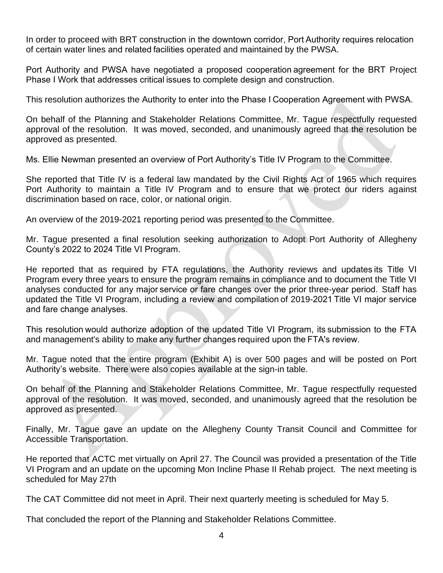In order to proceed with BRT construction in the downtown corridor, Port Authority requires relocation of certain water lines and related facilities operated and maintained by the PWSA.

Port Authority and PWSA have negotiated a proposed cooperation agreement for the BRT Project Phase I Work that addresses critical issues to complete design and construction.

This resolution authorizes the Authority to enter into the Phase I Cooperation Agreement with PWSA.  

On behalf of the Planning and Stakeholder Relations Committee, Mr. Tague respectfully requested approval of the resolution. It was moved, seconded, and unanimously agreed that the resolution be approved as presented.

Ms. Ellie Newman presented an overview of Port Authority's Title IV Program to the Committee.

She reported that Title IV is a federal law mandated by the Civil Rights Act of 1965 which requires Port Authority to maintain a Title IV Program and to ensure that we protect our riders against discrimination based on race, color, or national origin.

An overview of the 2019-2021 reporting period was presented to the Committee.

Mr. Tague presented a final resolution seeking authorization to Adopt Port Authority of Allegheny County's 2022 to 2024 Title VI Program.

He reported that as required by FTA regulations, the Authority reviews and updates its Title VI Program every three years to ensure the program remains in compliance and to document the Title VI analyses conducted for any major service or fare changes over the prior three-year period.  Staff has updated the Title VI Program, including a review and compilation of 2019-2021 Title VI major service and fare change analyses. 

This resolution would authorize adoption of the updated Title VI Program, its submission to the FTA and management's ability to make any further changes required upon the FTA's review.  

Mr. Tague noted that the entire program (Exhibit A) is over 500 pages and will be posted on Port Authority's website. There were also copies available at the sign-in table.

On behalf of the Planning and Stakeholder Relations Committee, Mr. Tague respectfully requested approval of the resolution. It was moved, seconded, and unanimously agreed that the resolution be approved as presented.

Finally, Mr. Tague gave an update on the Allegheny County Transit Council and Committee for Accessible Transportation.

He reported that ACTC met virtually on April 27. The Council was provided a presentation of the Title VI Program and an update on the upcoming Mon Incline Phase II Rehab project. The next meeting is scheduled for May 27th

The CAT Committee did not meet in April. Their next quarterly meeting is scheduled for May 5.

That concluded the report of the Planning and Stakeholder Relations Committee.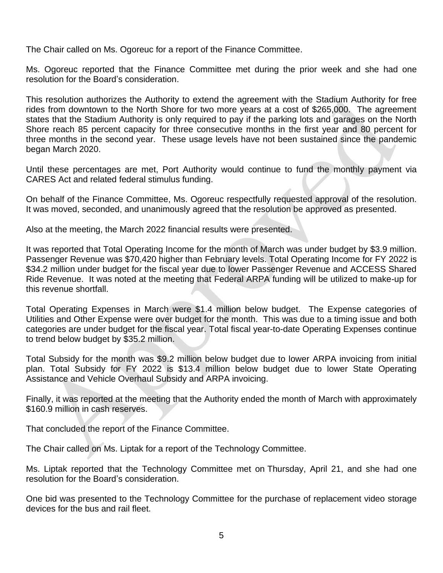The Chair called on Ms. Ogoreuc for a report of the Finance Committee.

Ms. Ogoreuc reported that the Finance Committee met during the prior week and she had one resolution for the Board's consideration.

This resolution authorizes the Authority to extend the agreement with the Stadium Authority for free rides from downtown to the North Shore for two more years at a cost of \$265,000. The agreement states that the Stadium Authority is only required to pay if the parking lots and garages on the North Shore reach 85 percent capacity for three consecutive months in the first year and 80 percent for three months in the second year. These usage levels have not been sustained since the pandemic began March 2020.

Until these percentages are met, Port Authority would continue to fund the monthly payment via CARES Act and related federal stimulus funding.

On behalf of the Finance Committee, Ms. Ogoreuc respectfully requested approval of the resolution. It was moved, seconded, and unanimously agreed that the resolution be approved as presented.

Also at the meeting, the March 2022 financial results were presented.

It was reported that Total Operating Income for the month of March was under budget by \$3.9 million. Passenger Revenue was \$70,420 higher than February levels. Total Operating Income for FY 2022 is \$34.2 million under budget for the fiscal year due to lower Passenger Revenue and ACCESS Shared Ride Revenue. It was noted at the meeting that Federal ARPA funding will be utilized to make-up for this revenue shortfall.

Total Operating Expenses in March were \$1.4 million below budget. The Expense categories of Utilities and Other Expense were over budget for the month. This was due to a timing issue and both categories are under budget for the fiscal year. Total fiscal year-to-date Operating Expenses continue to trend below budget by \$35.2 million.

Total Subsidy for the month was \$9.2 million below budget due to lower ARPA invoicing from initial plan. Total Subsidy for FY 2022 is \$13.4 million below budget due to lower State Operating Assistance and Vehicle Overhaul Subsidy and ARPA invoicing.

Finally, it was reported at the meeting that the Authority ended the month of March with approximately \$160.9 million in cash reserves.

That concluded the report of the Finance Committee.

The Chair called on Ms. Liptak for a report of the Technology Committee.

Ms. Liptak reported that the Technology Committee met on Thursday, April 21, and she had one resolution for the Board's consideration.

One bid was presented to the Technology Committee for the purchase of replacement video storage devices for the bus and rail fleet.